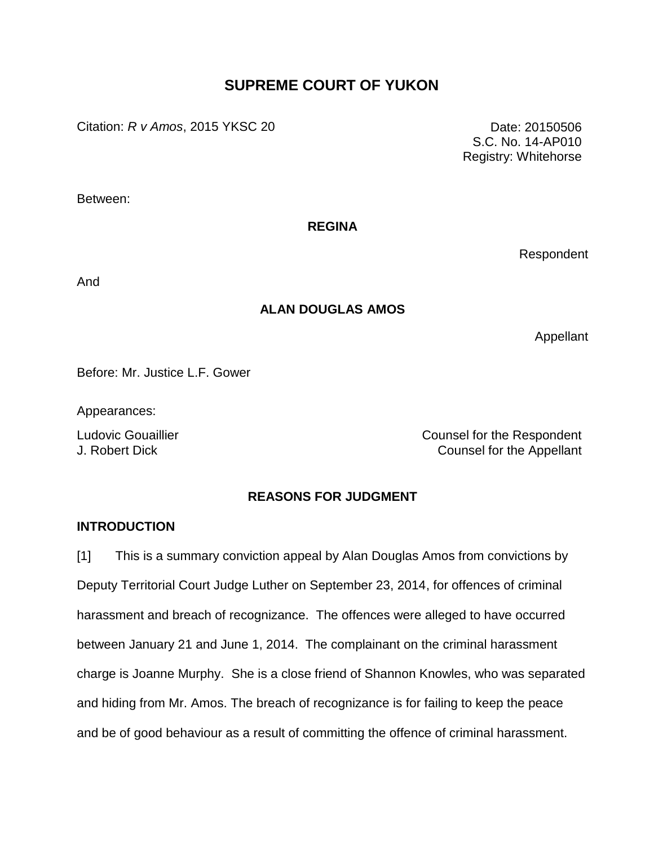# **SUPREME COURT OF YUKON**

Citation: *R v Amos*, 2015 YKSC 20 Date: 20150506

S.C. No. 14-AP010 Registry: Whitehorse

Between:

#### **REGINA**

Respondent

And

### **ALAN DOUGLAS AMOS**

Appellant

Before: Mr. Justice L.F. Gower

Appearances:

Ludovic Gouaillier **Counsel for the Respondent** J. Robert Dick Counsel for the Appellant

### **REASONS FOR JUDGMENT**

#### **INTRODUCTION**

[1] This is a summary conviction appeal by Alan Douglas Amos from convictions by Deputy Territorial Court Judge Luther on September 23, 2014, for offences of criminal harassment and breach of recognizance. The offences were alleged to have occurred between January 21 and June 1, 2014. The complainant on the criminal harassment charge is Joanne Murphy. She is a close friend of Shannon Knowles, who was separated and hiding from Mr. Amos. The breach of recognizance is for failing to keep the peace and be of good behaviour as a result of committing the offence of criminal harassment.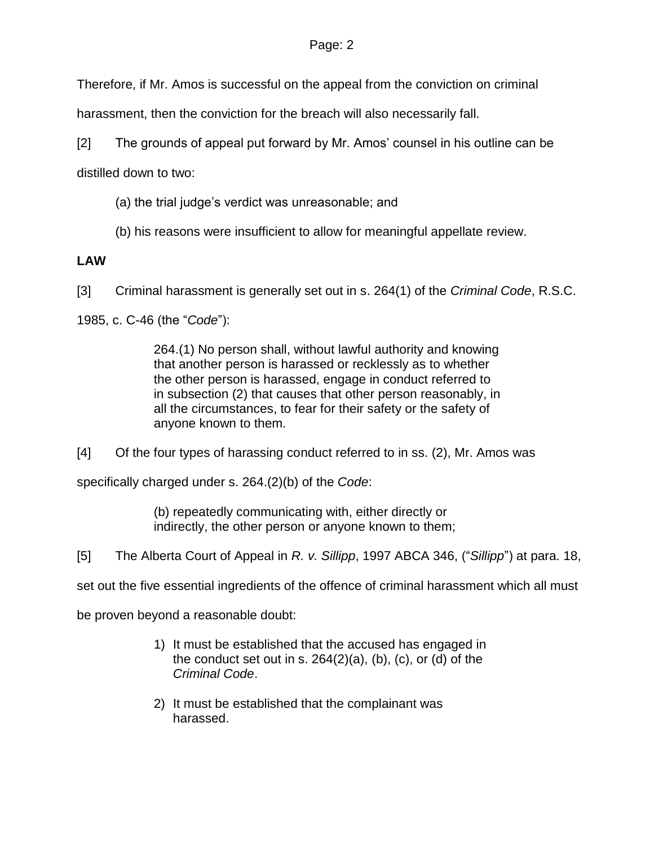Therefore, if Mr. Amos is successful on the appeal from the conviction on criminal

harassment, then the conviction for the breach will also necessarily fall.

[2] The grounds of appeal put forward by Mr. Amos' counsel in his outline can be

distilled down to two:

- (a) the trial judge's verdict was unreasonable; and
- (b) his reasons were insufficient to allow for meaningful appellate review.

## **LAW**

[3] Criminal harassment is generally set out in s. 264(1) of the *Criminal Code*, R.S.C.

1985, c. C-46 (the "*Code*"):

264.(1) No person shall, without lawful authority and knowing that another person is harassed or recklessly as to whether the other person is harassed, engage in conduct referred to in subsection (2) that causes that other person reasonably, in all the circumstances, to fear for their safety or the safety of anyone known to them.

[4] Of the four types of harassing conduct referred to in ss. (2), Mr. Amos was

specifically charged under s. 264.(2)(b) of the *Code*:

(b) repeatedly communicating with, either directly or indirectly, the other person or anyone known to them;

[5] The Alberta Court of Appeal in *R. v. Sillipp*, 1997 ABCA 346, ("*Sillipp*") at para. 18,

set out the five essential ingredients of the offence of criminal harassment which all must

be proven beyond a reasonable doubt:

- 1) It must be established that the accused has engaged in the conduct set out in s. 264(2)(a), (b), (c), or (d) of the *Criminal Code*.
- 2) It must be established that the complainant was harassed.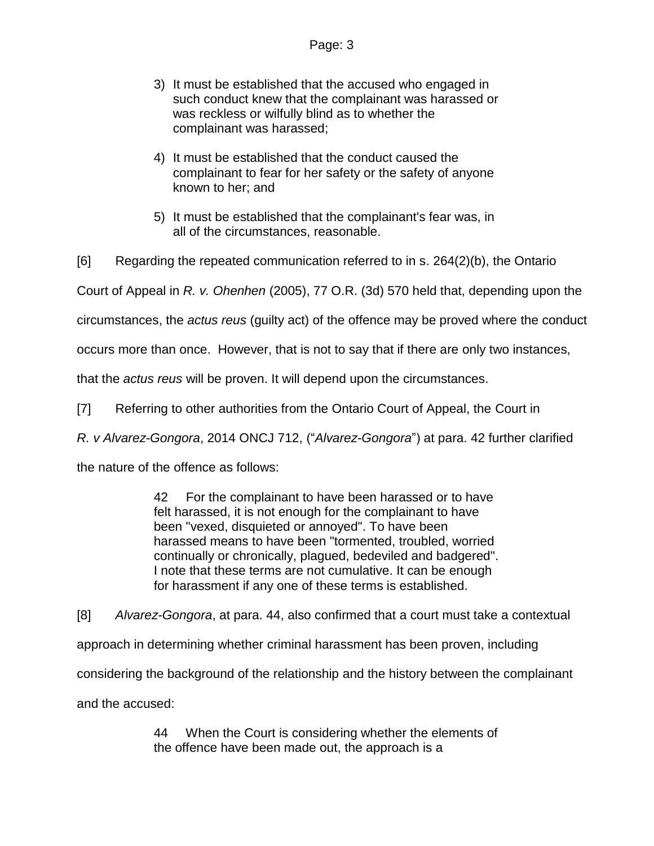- 3) It must be established that the accused who engaged in such conduct knew that the complainant was harassed or was reckless or wilfully blind as to whether the complainant was harassed;
- 4) It must be established that the conduct caused the complainant to fear for her safety or the safety of anyone known to her; and
- 5) It must be established that the complainant's fear was, in all of the circumstances, reasonable.

[6] Regarding the repeated communication referred to in s. 264(2)(b), the Ontario

Court of Appeal in *R. v. Ohenhen* (2005), 77 O.R. (3d) 570 held that, depending upon the

circumstances, the *actus reus* (guilty act) of the offence may be proved where the conduct

occurs more than once. However, that is not to say that if there are only two instances,

that the *actus reus* will be proven. It will depend upon the circumstances.

[7] Referring to other authorities from the Ontario Court of Appeal, the Court in

*R. v Alvarez-Gongora*, 2014 ONCJ 712, ("*Alvarez-Gongora*") at para. 42 further clarified

the nature of the offence as follows:

42 For the complainant to have been harassed or to have felt harassed, it is not enough for the complainant to have been "vexed, disquieted or annoyed". To have been harassed means to have been "tormented, troubled, worried continually or chronically, plagued, bedeviled and badgered". I note that these terms are not cumulative. It can be enough for harassment if any one of these terms is established.

[8] *Alvarez-Gongora*, at para. 44, also confirmed that a court must take a contextual approach in determining whether criminal harassment has been proven, including considering the background of the relationship and the history between the complainant and the accused:

> 44 When the Court is considering whether the elements of the offence have been made out, the approach is a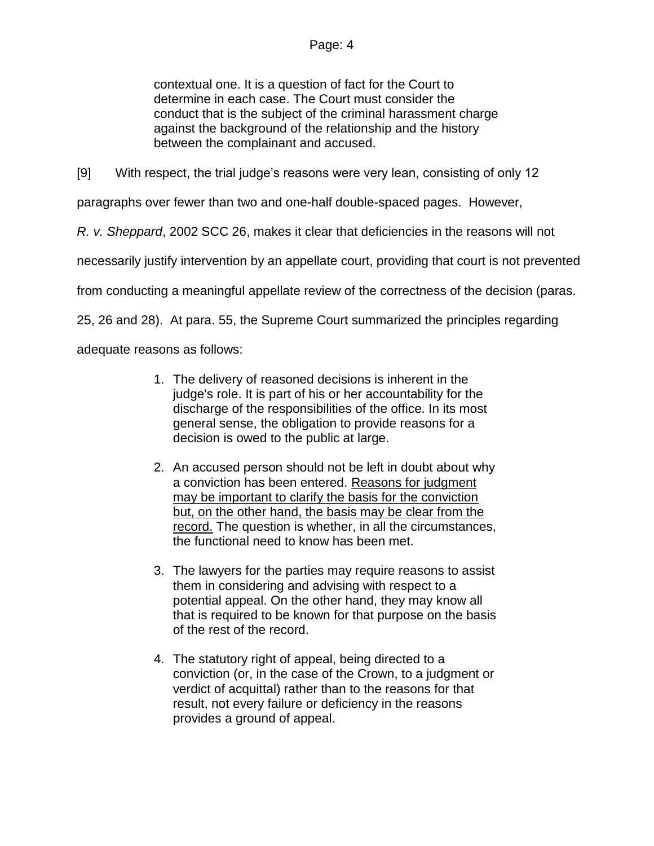contextual one. It is a question of fact for the Court to determine in each case. The Court must consider the conduct that is the subject of the criminal harassment charge against the background of the relationship and the history between the complainant and accused.

[9] With respect, the trial judge's reasons were very lean, consisting of only 12

paragraphs over fewer than two and one-half double-spaced pages. However,

*R. v. Sheppard*, 2002 SCC 26, makes it clear that deficiencies in the reasons will not

necessarily justify intervention by an appellate court, providing that court is not prevented

from conducting a meaningful appellate review of the correctness of the decision (paras.

25, 26 and 28). At para. 55, the Supreme Court summarized the principles regarding

adequate reasons as follows:

- 1. The delivery of reasoned decisions is inherent in the judge's role. It is part of his or her accountability for the discharge of the responsibilities of the office. In its most general sense, the obligation to provide reasons for a decision is owed to the public at large.
- 2. An accused person should not be left in doubt about why a conviction has been entered. Reasons for judgment may be important to clarify the basis for the conviction but, on the other hand, the basis may be clear from the record. The question is whether, in all the circumstances, the functional need to know has been met.
- 3. The lawyers for the parties may require reasons to assist them in considering and advising with respect to a potential appeal. On the other hand, they may know all that is required to be known for that purpose on the basis of the rest of the record.
- 4. The statutory right of appeal, being directed to a conviction (or, in the case of the Crown, to a judgment or verdict of acquittal) rather than to the reasons for that result, not every failure or deficiency in the reasons provides a ground of appeal.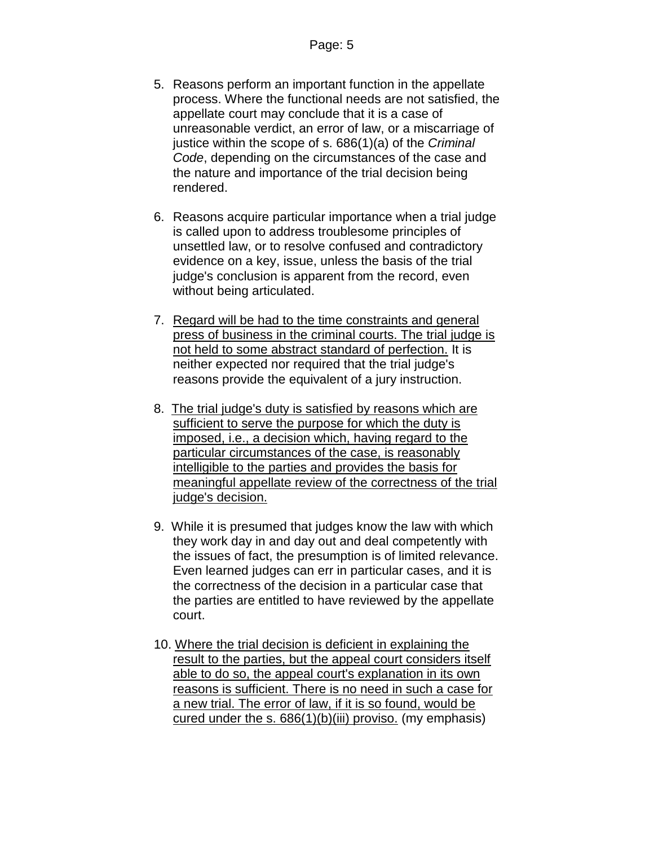- 5. Reasons perform an important function in the appellate process. Where the functional needs are not satisfied, the appellate court may conclude that it is a case of unreasonable verdict, an error of law, or a miscarriage of justice within the scope of s. 686(1)(a) of the *Criminal Code*, depending on the circumstances of the case and the nature and importance of the trial decision being rendered.
- 6. Reasons acquire particular importance when a trial judge is called upon to address troublesome principles of unsettled law, or to resolve confused and contradictory evidence on a key, issue, unless the basis of the trial judge's conclusion is apparent from the record, even without being articulated.
- 7. Regard will be had to the time constraints and general press of business in the criminal courts. The trial judge is not held to some abstract standard of perfection. It is neither expected nor required that the trial judge's reasons provide the equivalent of a jury instruction.
- 8. The trial judge's duty is satisfied by reasons which are sufficient to serve the purpose for which the duty is imposed, i.e., a decision which, having regard to the particular circumstances of the case, is reasonably intelligible to the parties and provides the basis for meaningful appellate review of the correctness of the trial judge's decision.
- 9. While it is presumed that judges know the law with which they work day in and day out and deal competently with the issues of fact, the presumption is of limited relevance. Even learned judges can err in particular cases, and it is the correctness of the decision in a particular case that the parties are entitled to have reviewed by the appellate court.
- 10. Where the trial decision is deficient in explaining the result to the parties, but the appeal court considers itself able to do so, the appeal court's explanation in its own reasons is sufficient. There is no need in such a case for a new trial. The error of law, if it is so found, would be cured under the s. 686(1)(b)(iii) proviso. (my emphasis)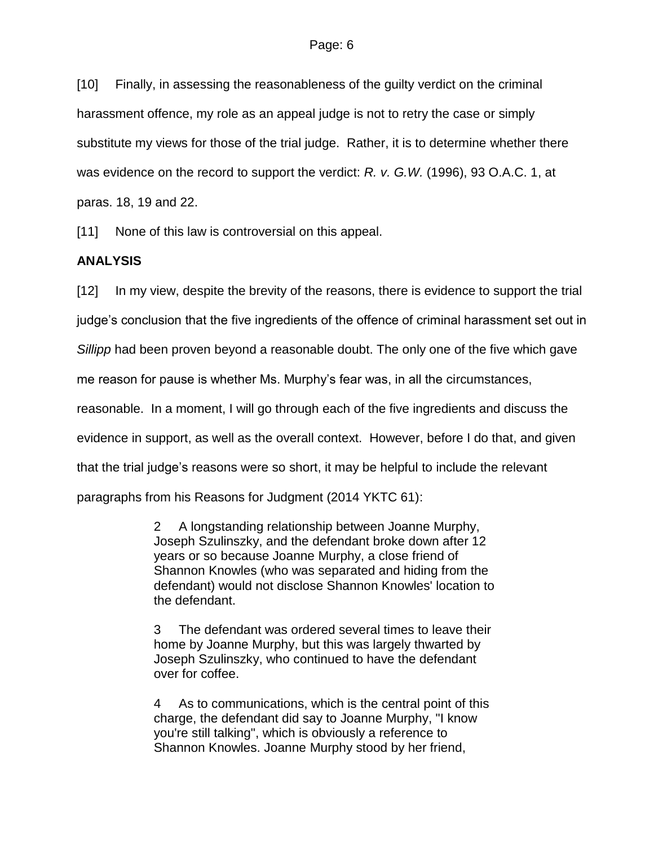[10] Finally, in assessing the reasonableness of the guilty verdict on the criminal harassment offence, my role as an appeal judge is not to retry the case or simply substitute my views for those of the trial judge. Rather, it is to determine whether there was evidence on the record to support the verdict: *R. v. G.W.* (1996), 93 O.A.C. 1, at paras. 18, 19 and 22.

[11] None of this law is controversial on this appeal.

### **ANALYSIS**

[12] In my view, despite the brevity of the reasons, there is evidence to support the trial judge's conclusion that the five ingredients of the offence of criminal harassment set out in *Sillipp* had been proven beyond a reasonable doubt. The only one of the five which gave me reason for pause is whether Ms. Murphy's fear was, in all the circumstances, reasonable. In a moment, I will go through each of the five ingredients and discuss the evidence in support, as well as the overall context. However, before I do that, and given that the trial judge's reasons were so short, it may be helpful to include the relevant paragraphs from his Reasons for Judgment (2014 YKTC 61):

> 2 A longstanding relationship between Joanne Murphy, Joseph Szulinszky, and the defendant broke down after 12 years or so because Joanne Murphy, a close friend of Shannon Knowles (who was separated and hiding from the defendant) would not disclose Shannon Knowles' location to the defendant.

> 3 The defendant was ordered several times to leave their home by Joanne Murphy, but this was largely thwarted by Joseph Szulinszky, who continued to have the defendant over for coffee.

> 4 As to communications, which is the central point of this charge, the defendant did say to Joanne Murphy, "I know you're still talking", which is obviously a reference to Shannon Knowles. Joanne Murphy stood by her friend,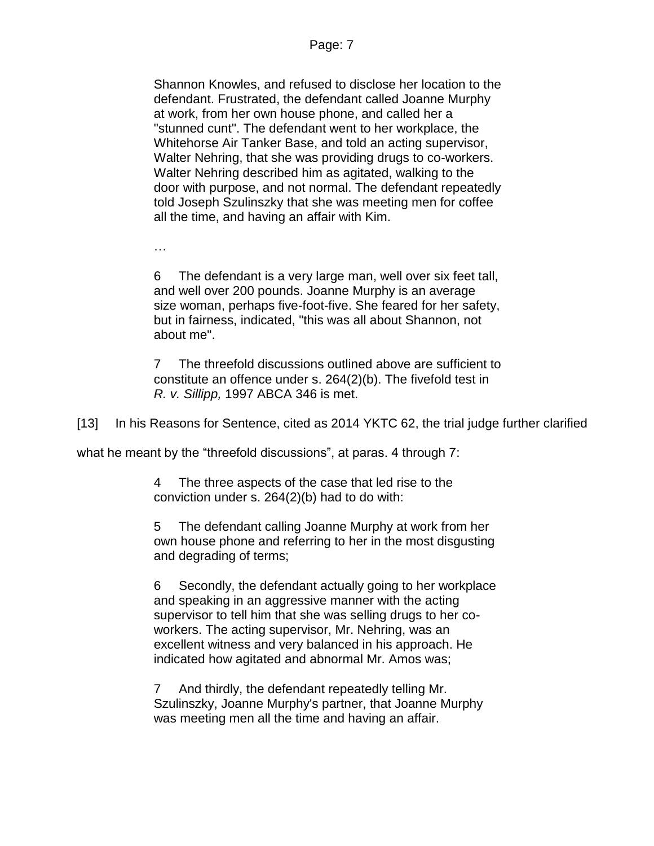Shannon Knowles, and refused to disclose her location to the defendant. Frustrated, the defendant called Joanne Murphy at work, from her own house phone, and called her a "stunned cunt". The defendant went to her workplace, the Whitehorse Air Tanker Base, and told an acting supervisor, Walter Nehring, that she was providing drugs to co-workers. Walter Nehring described him as agitated, walking to the door with purpose, and not normal. The defendant repeatedly told Joseph Szulinszky that she was meeting men for coffee all the time, and having an affair with Kim.

…

6 The defendant is a very large man, well over six feet tall, and well over 200 pounds. Joanne Murphy is an average size woman, perhaps five-foot-five. She feared for her safety, but in fairness, indicated, "this was all about Shannon, not about me".

7 The threefold discussions outlined above are sufficient to constitute an offence under s. 264(2)(b). The fivefold test in *R. v. Sillipp,* 1997 ABCA 346 is met.

[13] In his Reasons for Sentence, cited as 2014 YKTC 62, the trial judge further clarified

what he meant by the "threefold discussions", at paras. 4 through 7:

4 The three aspects of the case that led rise to the conviction under s. 264(2)(b) had to do with:

5 The defendant calling Joanne Murphy at work from her own house phone and referring to her in the most disgusting and degrading of terms;

6 Secondly, the defendant actually going to her workplace and speaking in an aggressive manner with the acting supervisor to tell him that she was selling drugs to her coworkers. The acting supervisor, Mr. Nehring, was an excellent witness and very balanced in his approach. He indicated how agitated and abnormal Mr. Amos was;

7 And thirdly, the defendant repeatedly telling Mr. Szulinszky, Joanne Murphy's partner, that Joanne Murphy was meeting men all the time and having an affair.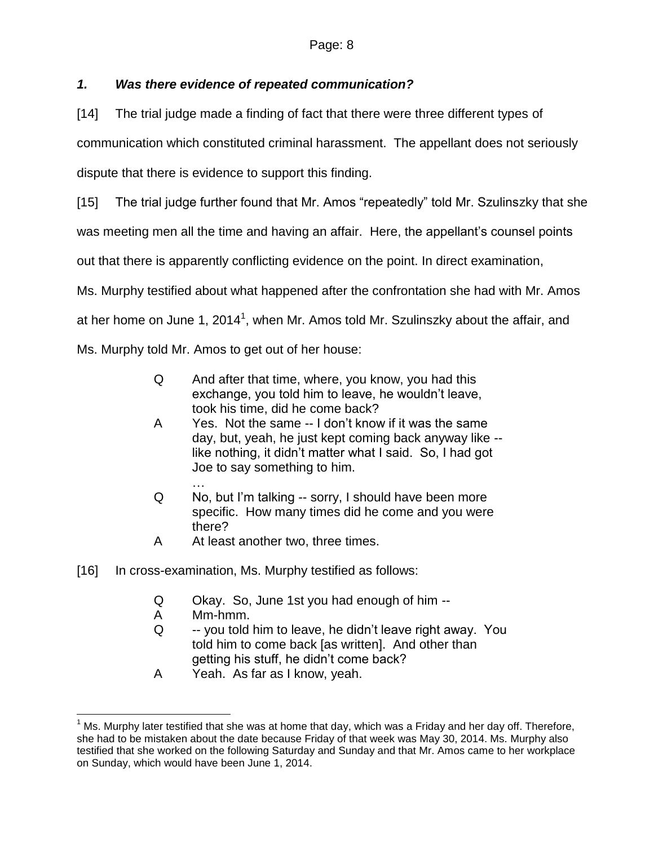## *1. Was there evidence of repeated communication?*

[14] The trial judge made a finding of fact that there were three different types of

communication which constituted criminal harassment. The appellant does not seriously

dispute that there is evidence to support this finding.

[15] The trial judge further found that Mr. Amos "repeatedly" told Mr. Szulinszky that she

was meeting men all the time and having an affair. Here, the appellant's counsel points

out that there is apparently conflicting evidence on the point. In direct examination,

Ms. Murphy testified about what happened after the confrontation she had with Mr. Amos

at her home on June 1, 2014<sup>1</sup>, when Mr. Amos told Mr. Szulinszky about the affair, and

Ms. Murphy told Mr. Amos to get out of her house:

- Q And after that time, where, you know, you had this exchange, you told him to leave, he wouldn't leave, took his time, did he come back?
- A Yes. Not the same -- I don't know if it was the same day, but, yeah, he just kept coming back anyway like - like nothing, it didn't matter what I said. So, I had got Joe to say something to him.
- … Q No, but I'm talking -- sorry, I should have been more specific. How many times did he come and you were there?
- A At least another two, three times.
- [16] In cross-examination, Ms. Murphy testified as follows:
	- Q Okay. So, June 1st you had enough of him --
	- A Mm-hmm.
	- Q -- you told him to leave, he didn't leave right away. You told him to come back [as written]. And other than getting his stuff, he didn't come back?
	- A Yeah. As far as I know, yeah.

 $\overline{a}$  $1$  Ms. Murphy later testified that she was at home that day, which was a Friday and her day off. Therefore, she had to be mistaken about the date because Friday of that week was May 30, 2014. Ms. Murphy also testified that she worked on the following Saturday and Sunday and that Mr. Amos came to her workplace on Sunday, which would have been June 1, 2014.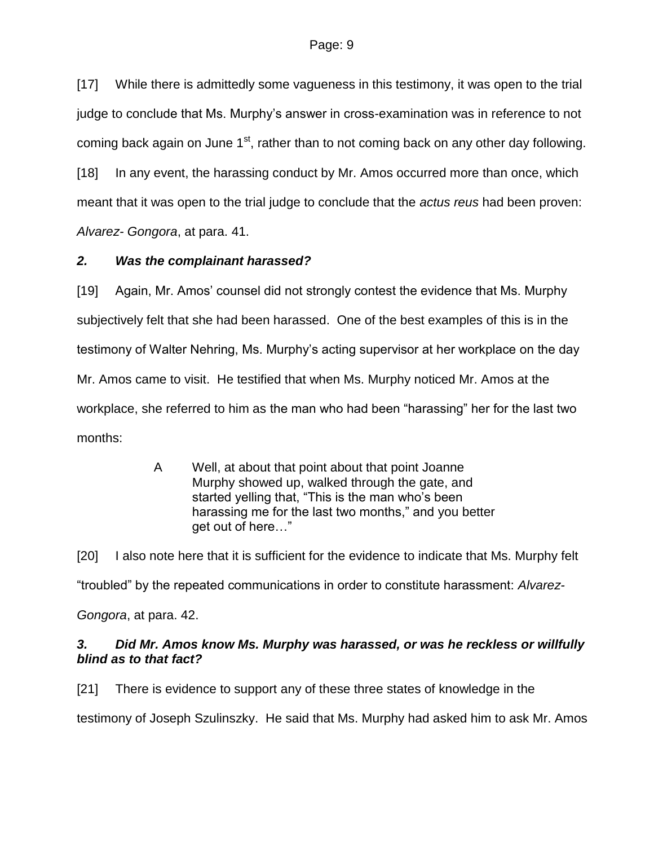[17] While there is admittedly some vagueness in this testimony, it was open to the trial judge to conclude that Ms. Murphy's answer in cross-examination was in reference to not coming back again on June 1<sup>st</sup>, rather than to not coming back on any other day following. [18] In any event, the harassing conduct by Mr. Amos occurred more than once, which

meant that it was open to the trial judge to conclude that the *actus reus* had been proven:

*Alvarez- Gongora*, at para. 41.

### *2. Was the complainant harassed?*

[19] Again, Mr. Amos' counsel did not strongly contest the evidence that Ms. Murphy subjectively felt that she had been harassed. One of the best examples of this is in the testimony of Walter Nehring, Ms. Murphy's acting supervisor at her workplace on the day Mr. Amos came to visit. He testified that when Ms. Murphy noticed Mr. Amos at the workplace, she referred to him as the man who had been "harassing" her for the last two months:

> A Well, at about that point about that point Joanne Murphy showed up, walked through the gate, and started yelling that, "This is the man who's been harassing me for the last two months," and you better get out of here…"

[20] I also note here that it is sufficient for the evidence to indicate that Ms. Murphy felt "troubled" by the repeated communications in order to constitute harassment: *Alvarez-Gongora*, at para. 42.

### *3. Did Mr. Amos know Ms. Murphy was harassed, or was he reckless or willfully blind as to that fact?*

[21] There is evidence to support any of these three states of knowledge in the testimony of Joseph Szulinszky. He said that Ms. Murphy had asked him to ask Mr. Amos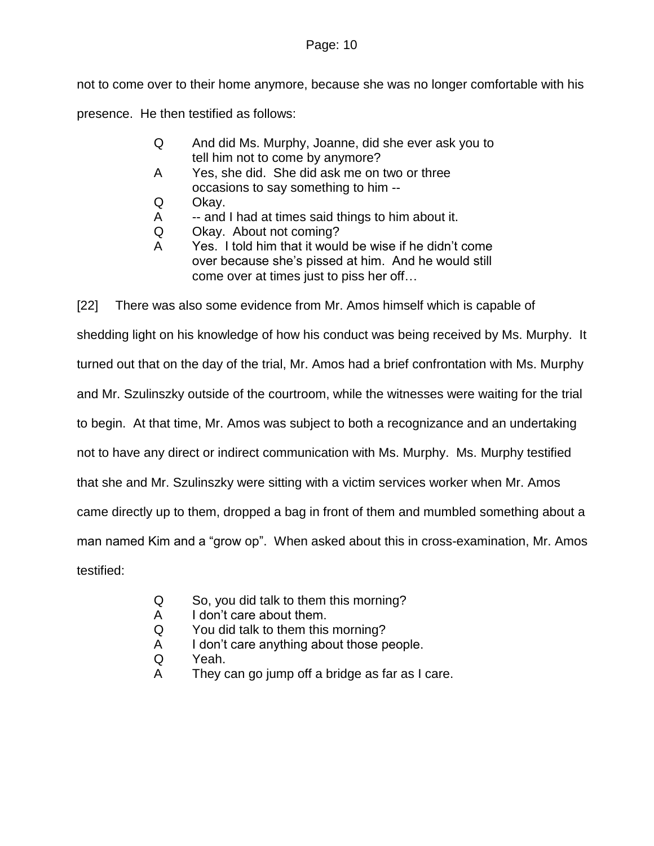not to come over to their home anymore, because she was no longer comfortable with his presence. He then testified as follows:

- Q And did Ms. Murphy, Joanne, did she ever ask you to tell him not to come by anymore?
- A Yes, she did. She did ask me on two or three occasions to say something to him --
- Q Okay.
- A -- and I had at times said things to him about it.
- Q Okay. About not coming?
- A Yes. I told him that it would be wise if he didn't come over because she's pissed at him. And he would still come over at times just to piss her off…

[22] There was also some evidence from Mr. Amos himself which is capable of shedding light on his knowledge of how his conduct was being received by Ms. Murphy. It turned out that on the day of the trial, Mr. Amos had a brief confrontation with Ms. Murphy and Mr. Szulinszky outside of the courtroom, while the witnesses were waiting for the trial to begin. At that time, Mr. Amos was subject to both a recognizance and an undertaking not to have any direct or indirect communication with Ms. Murphy. Ms. Murphy testified that she and Mr. Szulinszky were sitting with a victim services worker when Mr. Amos came directly up to them, dropped a bag in front of them and mumbled something about a man named Kim and a "grow op". When asked about this in cross-examination, Mr. Amos testified:

- Q So, you did talk to them this morning?
- A I don't care about them.
- Q You did talk to them this morning?
- A I don't care anything about those people.
- Q Yeah.
- A They can go jump off a bridge as far as I care.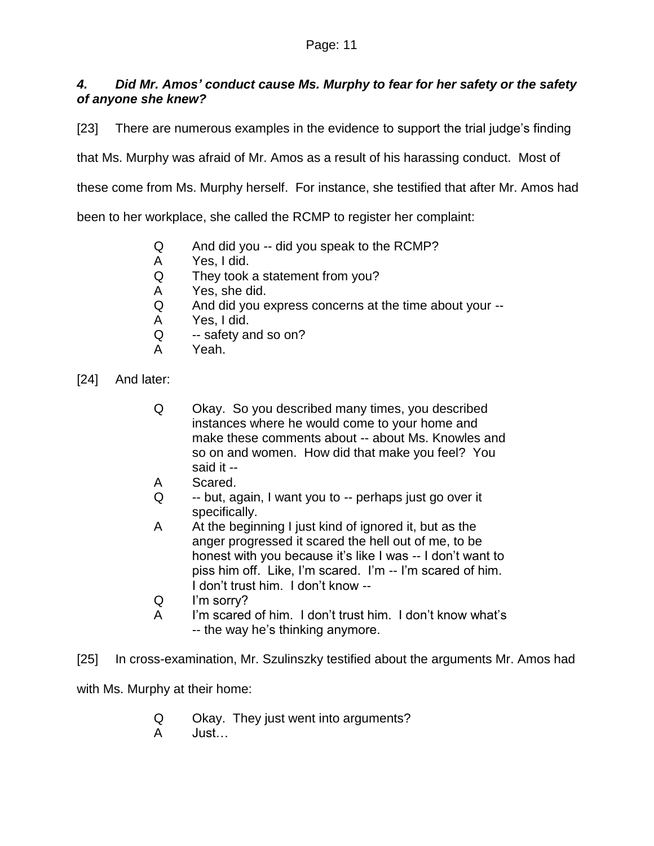## *4. Did Mr. Amos' conduct cause Ms. Murphy to fear for her safety or the safety of anyone she knew?*

[23] There are numerous examples in the evidence to support the trial judge's finding

that Ms. Murphy was afraid of Mr. Amos as a result of his harassing conduct. Most of

these come from Ms. Murphy herself. For instance, she testified that after Mr. Amos had

been to her workplace, she called the RCMP to register her complaint:

- Q And did you -- did you speak to the RCMP?
- A Yes, I did.
- Q They took a statement from you?
- A Yes, she did.
- Q And did you express concerns at the time about your --
- A Yes, I did.
- Q -- safety and so on?
- A Yeah.
- [24] And later:
	- Q Okay. So you described many times, you described instances where he would come to your home and make these comments about -- about Ms. Knowles and so on and women. How did that make you feel? You said it --
	- A Scared.
	- Q -- but, again, I want you to -- perhaps just go over it specifically.
	- A At the beginning I just kind of ignored it, but as the anger progressed it scared the hell out of me, to be honest with you because it's like I was -- I don't want to piss him off. Like, I'm scared. I'm -- I'm scared of him. I don't trust him. I don't know --
	- Q I'm sorry?
	- A I'm scared of him. I don't trust him. I don't know what's -- the way he's thinking anymore.

[25] In cross-examination, Mr. Szulinszky testified about the arguments Mr. Amos had

with Ms. Murphy at their home:

- Q Okay. They just went into arguments?
- A Just…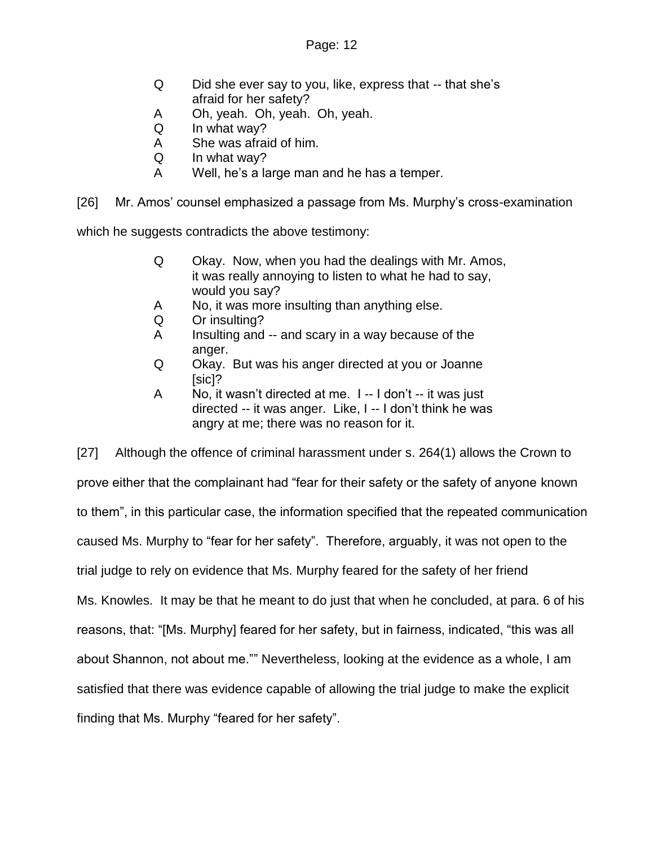- Q Did she ever say to you, like, express that -- that she's afraid for her safety?
- A Oh, yeah. Oh, yeah. Oh, yeah.
- Q In what way?
- A She was afraid of him.
- Q In what way?
- A Well, he's a large man and he has a temper.

[26] Mr. Amos' counsel emphasized a passage from Ms. Murphy's cross-examination

which he suggests contradicts the above testimony:

- Q Okay. Now, when you had the dealings with Mr. Amos, it was really annoying to listen to what he had to say, would you say?
- A No, it was more insulting than anything else.
- Q Or insulting?
- A Insulting and -- and scary in a way because of the anger.
- Q Okay. But was his anger directed at you or Joanne [sic]?
- A No, it wasn't directed at me. I -- I don't -- it was just directed -- it was anger. Like, I -- I don't think he was angry at me; there was no reason for it.

[27] Although the offence of criminal harassment under s. 264(1) allows the Crown to prove either that the complainant had "fear for their safety or the safety of anyone known to them", in this particular case, the information specified that the repeated communication caused Ms. Murphy to "fear for her safety". Therefore, arguably, it was not open to the trial judge to rely on evidence that Ms. Murphy feared for the safety of her friend Ms. Knowles. It may be that he meant to do just that when he concluded, at para. 6 of his reasons, that: "[Ms. Murphy] feared for her safety, but in fairness, indicated, "this was all about Shannon, not about me."" Nevertheless, looking at the evidence as a whole, I am satisfied that there was evidence capable of allowing the trial judge to make the explicit finding that Ms. Murphy "feared for her safety".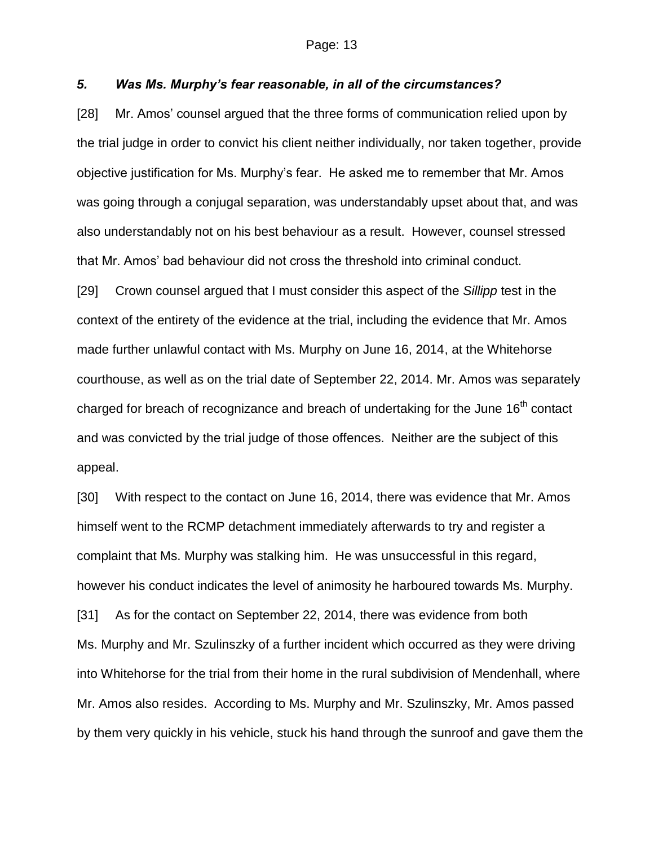#### *5. Was Ms. Murphy's fear reasonable, in all of the circumstances?*

[28] Mr. Amos' counsel argued that the three forms of communication relied upon by the trial judge in order to convict his client neither individually, nor taken together, provide objective justification for Ms. Murphy's fear. He asked me to remember that Mr. Amos was going through a conjugal separation, was understandably upset about that, and was also understandably not on his best behaviour as a result. However, counsel stressed that Mr. Amos' bad behaviour did not cross the threshold into criminal conduct.

[29] Crown counsel argued that I must consider this aspect of the *Sillipp* test in the context of the entirety of the evidence at the trial, including the evidence that Mr. Amos made further unlawful contact with Ms. Murphy on June 16, 2014, at the Whitehorse courthouse, as well as on the trial date of September 22, 2014. Mr. Amos was separately charged for breach of recognizance and breach of undertaking for the June 16<sup>th</sup> contact and was convicted by the trial judge of those offences. Neither are the subject of this appeal.

[30] With respect to the contact on June 16, 2014, there was evidence that Mr. Amos himself went to the RCMP detachment immediately afterwards to try and register a complaint that Ms. Murphy was stalking him. He was unsuccessful in this regard, however his conduct indicates the level of animosity he harboured towards Ms. Murphy. [31] As for the contact on September 22, 2014, there was evidence from both Ms. Murphy and Mr. Szulinszky of a further incident which occurred as they were driving into Whitehorse for the trial from their home in the rural subdivision of Mendenhall, where Mr. Amos also resides. According to Ms. Murphy and Mr. Szulinszky, Mr. Amos passed by them very quickly in his vehicle, stuck his hand through the sunroof and gave them the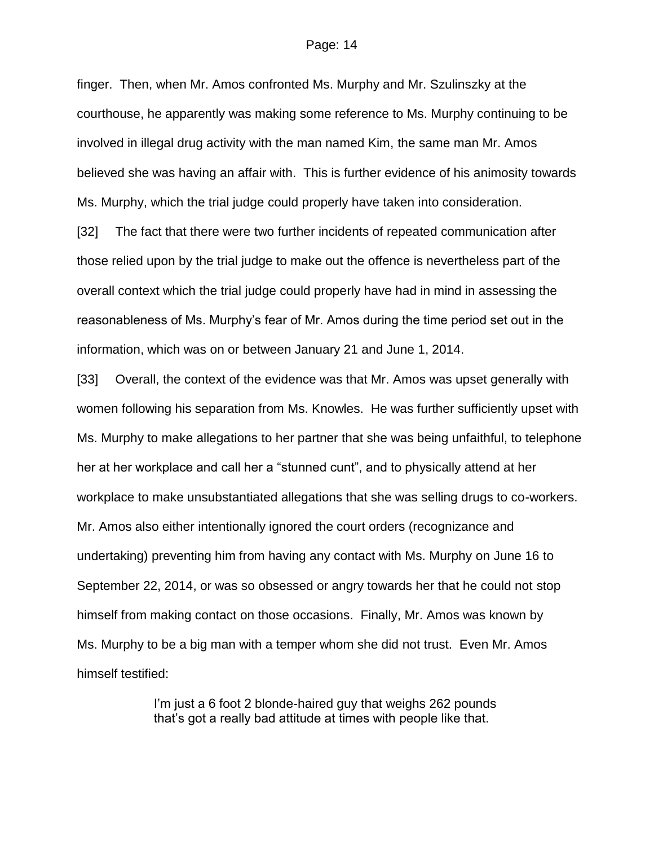finger. Then, when Mr. Amos confronted Ms. Murphy and Mr. Szulinszky at the courthouse, he apparently was making some reference to Ms. Murphy continuing to be involved in illegal drug activity with the man named Kim, the same man Mr. Amos believed she was having an affair with. This is further evidence of his animosity towards Ms. Murphy, which the trial judge could properly have taken into consideration.

[32] The fact that there were two further incidents of repeated communication after those relied upon by the trial judge to make out the offence is nevertheless part of the overall context which the trial judge could properly have had in mind in assessing the reasonableness of Ms. Murphy's fear of Mr. Amos during the time period set out in the information, which was on or between January 21 and June 1, 2014.

[33] Overall, the context of the evidence was that Mr. Amos was upset generally with women following his separation from Ms. Knowles. He was further sufficiently upset with Ms. Murphy to make allegations to her partner that she was being unfaithful, to telephone her at her workplace and call her a "stunned cunt", and to physically attend at her workplace to make unsubstantiated allegations that she was selling drugs to co-workers. Mr. Amos also either intentionally ignored the court orders (recognizance and undertaking) preventing him from having any contact with Ms. Murphy on June 16 to September 22, 2014, or was so obsessed or angry towards her that he could not stop himself from making contact on those occasions. Finally, Mr. Amos was known by Ms. Murphy to be a big man with a temper whom she did not trust. Even Mr. Amos himself testified:

> I'm just a 6 foot 2 blonde-haired guy that weighs 262 pounds that's got a really bad attitude at times with people like that.